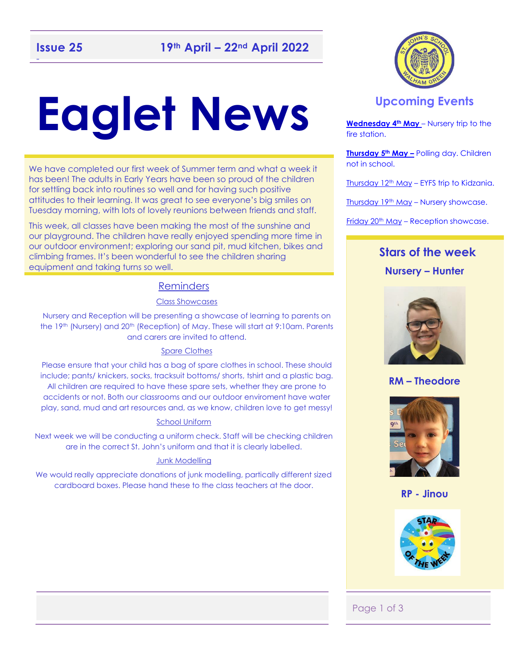# **Eaglet News**

We have completed our first week of Summer term and what a week it has been! The adults in Early Years have been so proud of the children for settling back into routines so well and for having such positive attitudes to their learning. It was great to see everyone's big smiles on Tuesday morning, with lots of lovely reunions between friends and staff.

This week, all classes have been making the most of the sunshine and our playground. The children have really enjoyed spending more time in our outdoor environment; exploring our sand pit, mud kitchen, bikes and climbing frames. It's been wonderful to see the children sharing equipment and taking turns so well.

#### Reminders

#### Class Showcases

Nursery and Reception will be presenting a showcase of learning to parents on the 19th (Nursery) and 20th (Reception) of May. These will start at 9:10am. Parents and carers are invited to attend.

#### Spare Clothes

Please ensure that your child has a bag of spare clothes in school. These should include; pants/ knickers, socks, tracksuit bottoms/ shorts, tshirt and a plastic bag. All children are required to have these spare sets, whether they are prone to accidents or not. Both our classrooms and our outdoor enviroment have water play, sand, mud and art resources and, as we know, children love to get messy!

#### School Uniform

Next week we will be conducting a uniform check. Staff will be checking children are in the correct St. John's uniform and that it is clearly labelled.

#### Junk Modelling

We would really appreciate donations of junk modelling, partically different sized cardboard boxes. Please hand these to the class teachers at the door.



#### **Upcoming Events**

**Wednesday 4th May** – Nursery trip to the fire station.

**Thursday 5th May –** Polling day. Children not in school.

 $Thursday 12<sup>th</sup> May - EYFS trip to Kidzania.$ 

Thursday 19<sup>th</sup> May – Nursery showcase.

Friday 20<sup>th</sup> May - Reception showcase.

#### **Stars of the week Nursery – Hunter**



**RM – Theodore**



**RP - Jinou** 



#### Page 1 of 3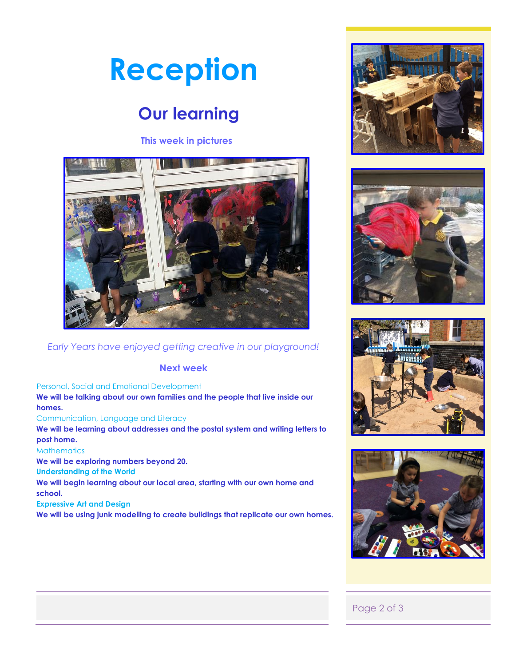## **Reception**

## **Our learning**

#### **This week in pictures**



#### *Early Years have enjoyed getting creative in our playground!*

#### **Next week**

#### Personal, Social and Emotional Development

**We will be talking about our own families and the people that live inside our homes.**

#### Communication, Language and Literacy

**We will be learning about addresses and the postal system and writing letters to post home.** 

#### **Mathematics**

**We will be exploring numbers beyond 20.** 

**Understanding of the World** 

**We will begin learning about our local area, starting with our own home and school.** 

#### **Expressive Art and Design**

**We will be using junk modelling to create buildings that replicate our own homes.** 









#### Page 2 of 3